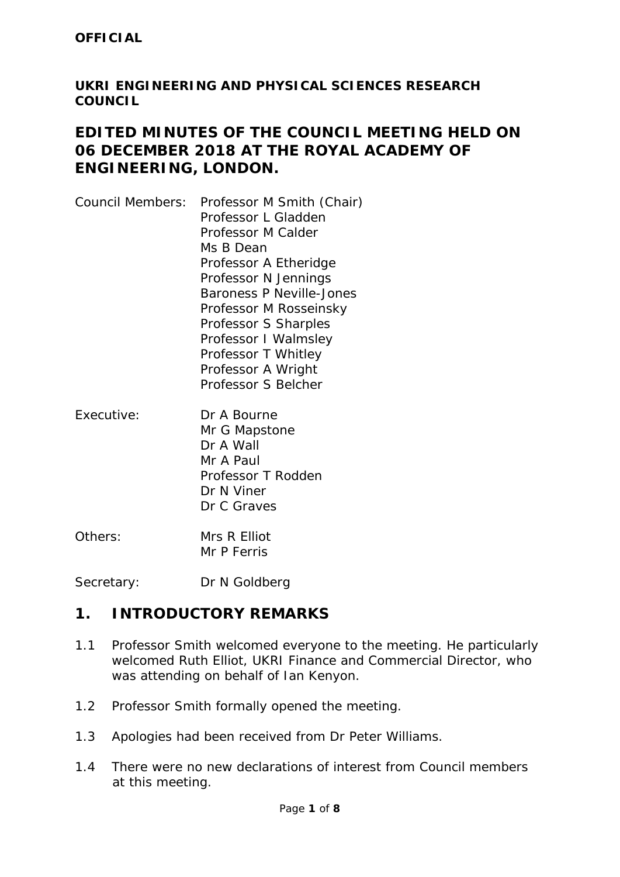#### **UKRI ENGINEERING AND PHYSICAL SCIENCES RESEARCH COUNCIL**

## **EDITED MINUTES OF THE COUNCIL MEETING HELD ON 06 DECEMBER 2018 AT THE ROYAL ACADEMY OF ENGINEERING, LONDON.**

- Council Members: Professor M Smith (Chair) Professor L Gladden Professor M Calder Ms B Dean Professor A Etheridge Professor N Jennings Baroness P Neville-Jones Professor M Rosseinsky Professor S Sharples Professor I Walmsley Professor T Whitley Professor A Wright Professor S Belcher
- Executive: Dr A Bourne Mr G Mapstone Dr A Wall Mr A Paul Professor T Rodden Dr N Viner Dr C Graves
- Others: Mrs R Elliot Mr P Ferris

Secretary: Dr N Goldberg

## **1. INTRODUCTORY REMARKS**

- 1.1 Professor Smith welcomed everyone to the meeting. He particularly welcomed Ruth Elliot, UKRI Finance and Commercial Director, who was attending on behalf of Ian Kenyon.
- 1.2 Professor Smith formally opened the meeting.
- 1.3 Apologies had been received from Dr Peter Williams.
- 1.4 There were no new declarations of interest from Council members at this meeting.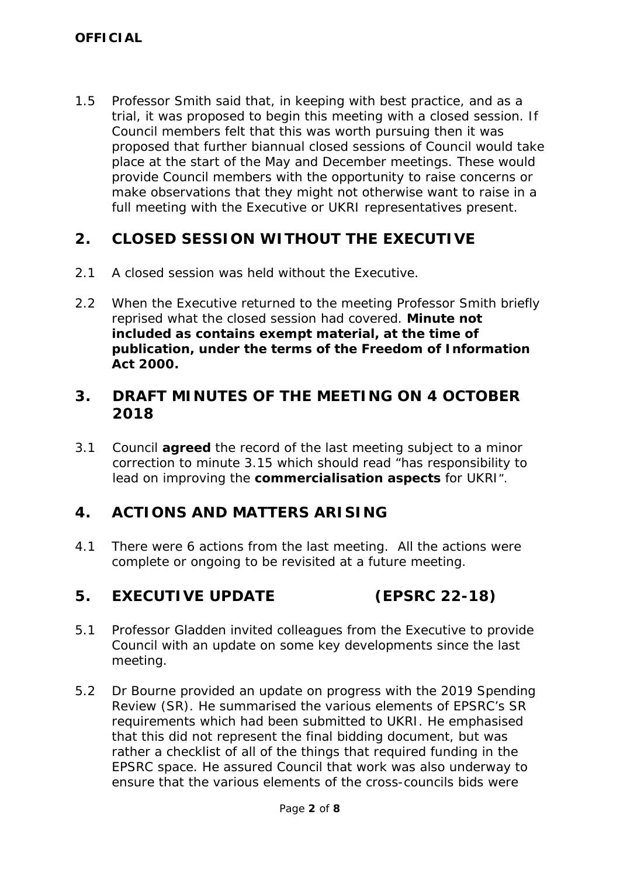1.5 Professor Smith said that, in keeping with best practice, and as a trial, it was proposed to begin this meeting with a closed session. If Council members felt that this was worth pursuing then it was proposed that further biannual closed sessions of Council would take place at the start of the May and December meetings. These would provide Council members with the opportunity to raise concerns or make observations that they might not otherwise want to raise in a full meeting with the Executive or UKRI representatives present.

## **2. CLOSED SESSION WITHOUT THE EXECUTIVE**

- 2.1 A closed session was held without the Executive.
- 2.2 When the Executive returned to the meeting Professor Smith briefly reprised what the closed session had covered. **Minute not included as contains exempt material, at the time of publication, under the terms of the Freedom of Information Act 2000.**

## **3. DRAFT MINUTES OF THE MEETING ON 4 OCTOBER 2018**

3.1 Council **agreed** the record of the last meeting subject to a minor correction to minute 3.15 which should read "*has responsibility to lead on improving the commercialisation aspects for UKRI".*

# **4. ACTIONS AND MATTERS ARISING**

4.1 There were 6 actions from the last meeting. All the actions were complete or ongoing to be revisited at a future meeting.

#### **5. EXECUTIVE UPDATE (EPSRC 22-18)**

- 5.1 Professor Gladden invited colleagues from the Executive to provide Council with an update on some key developments since the last meeting.
- 5.2 Dr Bourne provided an update on progress with the 2019 Spending Review (SR). He summarised the various elements of EPSRC's SR requirements which had been submitted to UKRI. He emphasised that this did not represent the final bidding document, but was rather a checklist of all of the things that required funding in the EPSRC space. He assured Council that work was also underway to ensure that the various elements of the cross-councils bids were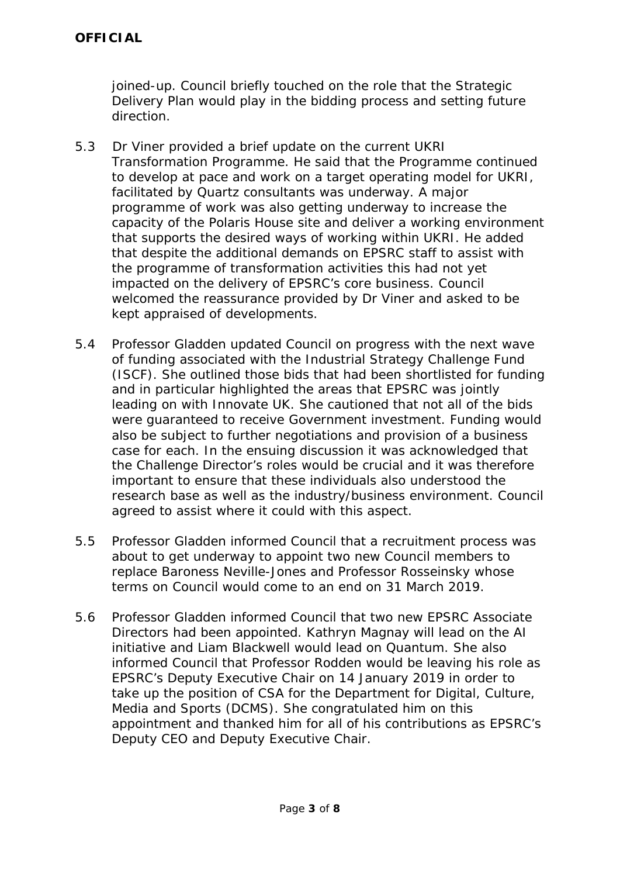joined-up. Council briefly touched on the role that the Strategic Delivery Plan would play in the bidding process and setting future direction.

- 5.3 Dr Viner provided a brief update on the current UKRI Transformation Programme. He said that the Programme continued to develop at pace and work on a target operating model for UKRI, facilitated by Quartz consultants was underway. A major programme of work was also getting underway to increase the capacity of the Polaris House site and deliver a working environment that supports the desired ways of working within UKRI. He added that despite the additional demands on EPSRC staff to assist with the programme of transformation activities this had not yet impacted on the delivery of EPSRC's core business. Council welcomed the reassurance provided by Dr Viner and asked to be kept appraised of developments.
- 5.4 Professor Gladden updated Council on progress with the next wave of funding associated with the Industrial Strategy Challenge Fund (ISCF). She outlined those bids that had been shortlisted for funding and in particular highlighted the areas that EPSRC was jointly leading on with Innovate UK. She cautioned that not all of the bids were guaranteed to receive Government investment. Funding would also be subject to further negotiations and provision of a business case for each. In the ensuing discussion it was acknowledged that the Challenge Director's roles would be crucial and it was therefore important to ensure that these individuals also understood the research base as well as the industry/business environment. Council agreed to assist where it could with this aspect.
- 5.5 Professor Gladden informed Council that a recruitment process was about to get underway to appoint two new Council members to replace Baroness Neville-Jones and Professor Rosseinsky whose terms on Council would come to an end on 31 March 2019.
- 5.6 Professor Gladden informed Council that two new EPSRC Associate Directors had been appointed. Kathryn Magnay will lead on the AI initiative and Liam Blackwell would lead on Quantum. She also informed Council that Professor Rodden would be leaving his role as EPSRC's Deputy Executive Chair on 14 January 2019 in order to take up the position of CSA for the Department for Digital, Culture, Media and Sports (DCMS). She congratulated him on this appointment and thanked him for all of his contributions as EPSRC's Deputy CEO and Deputy Executive Chair.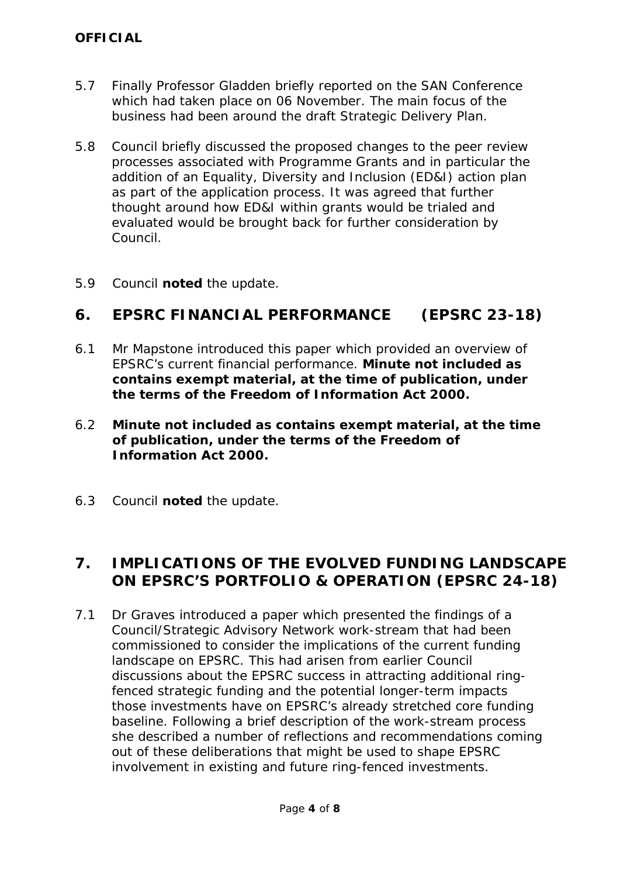- 5.7 Finally Professor Gladden briefly reported on the SAN Conference which had taken place on 06 November. The main focus of the business had been around the draft Strategic Delivery Plan.
- 5.8 Council briefly discussed the proposed changes to the peer review processes associated with Programme Grants and in particular the addition of an Equality, Diversity and Inclusion (ED&I) action plan as part of the application process. It was agreed that further thought around how ED&I within grants would be trialed and evaluated would be brought back for further consideration by Council.
- 5.9 Council **noted** the update.

# **6. EPSRC FINANCIAL PERFORMANCE (EPSRC 23-18)**

- 6.1 Mr Mapstone introduced this paper which provided an overview of EPSRC's current financial performance. **Minute not included as contains exempt material, at the time of publication, under the terms of the Freedom of Information Act 2000.**
- 6.2 **Minute not included as contains exempt material, at the time of publication, under the terms of the Freedom of Information Act 2000.**
- 6.3 Council **noted** the update.

## **7. IMPLICATIONS OF THE EVOLVED FUNDING LANDSCAPE ON EPSRC'S PORTFOLIO & OPERATION (EPSRC 24-18)**

7.1 Dr Graves introduced a paper which presented the findings of a Council/Strategic Advisory Network work-stream that had been commissioned to consider the implications of the current funding landscape on EPSRC. This had arisen from earlier Council discussions about the EPSRC success in attracting additional ringfenced strategic funding and the potential longer-term impacts those investments have on EPSRC's already stretched core funding baseline. Following a brief description of the work-stream process she described a number of reflections and recommendations coming out of these deliberations that might be used to shape EPSRC involvement in existing and future ring-fenced investments.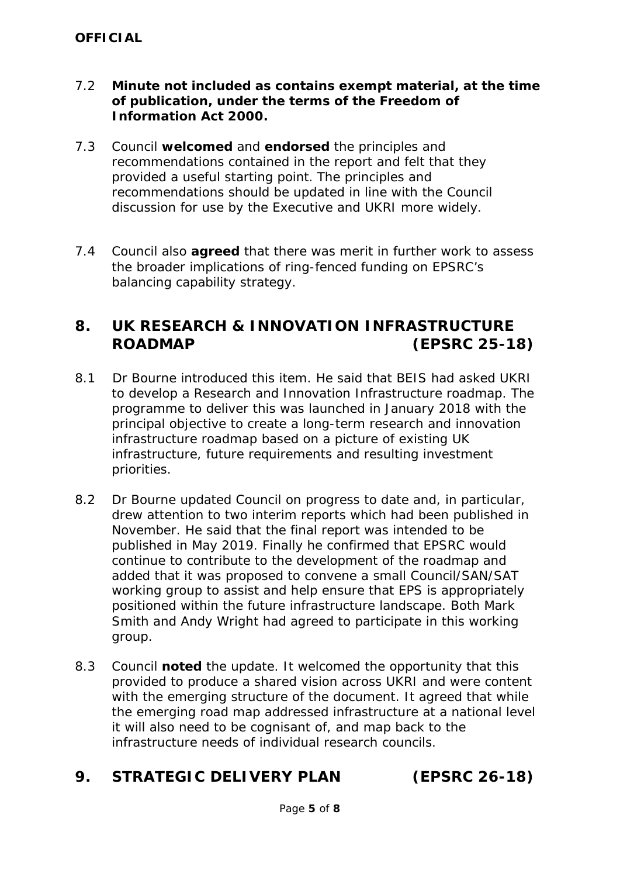- 7.2 **Minute not included as contains exempt material, at the time of publication, under the terms of the Freedom of Information Act 2000.**
- 7.3 Council **welcomed** and **endorsed** the principles and recommendations contained in the report and felt that they provided a useful starting point. The principles and recommendations should be updated in line with the Council discussion for use by the Executive and UKRI more widely.
- 7.4 Council also **agreed** that there was merit in further work to assess the broader implications of ring-fenced funding on EPSRC's balancing capability strategy.

## **8. UK RESEARCH & INNOVATION INFRASTRUCTURE ROADMAP (EPSRC 25-18)**

- 8.1 Dr Bourne introduced this item. He said that BEIS had asked UKRI to develop a Research and Innovation Infrastructure roadmap. The programme to deliver this was launched in January 2018 with the principal objective to create a long-term research and innovation infrastructure roadmap based on a picture of existing UK infrastructure, future requirements and resulting investment priorities.
- 8.2 Dr Bourne updated Council on progress to date and, in particular, drew attention to two interim reports which had been published in November. He said that the final report was intended to be published in May 2019. Finally he confirmed that EPSRC would continue to contribute to the development of the roadmap and added that it was proposed to convene a small Council/SAN/SAT working group to assist and help ensure that EPS is appropriately positioned within the future infrastructure landscape. Both Mark Smith and Andy Wright had agreed to participate in this working group.
- 8.3 Council **noted** the update. It welcomed the opportunity that this provided to produce a shared vision across UKRI and were content with the emerging structure of the document. It agreed that while the emerging road map addressed infrastructure at a national level it will also need to be cognisant of, and map back to the infrastructure needs of individual research councils.

## **9. STRATEGIC DELIVERY PLAN (EPSRC 26-18)**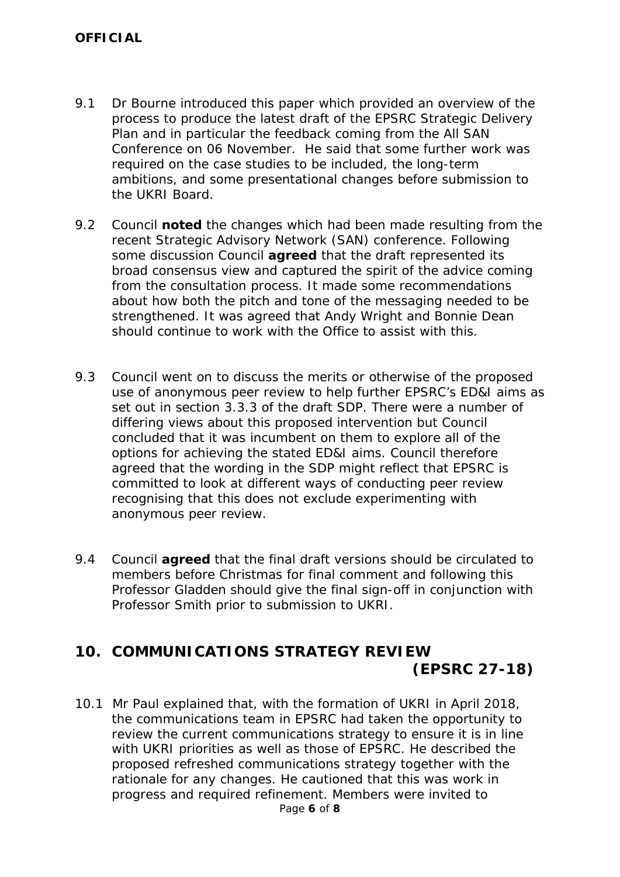- 9.1 Dr Bourne introduced this paper which provided an overview of the process to produce the latest draft of the EPSRC Strategic Delivery Plan and in particular the feedback coming from the All SAN Conference on 06 November. He said that some further work was required on the case studies to be included, the long-term ambitions, and some presentational changes before submission to the UKRI Board.
- 9.2 Council **noted** the changes which had been made resulting from the recent Strategic Advisory Network (SAN) conference. Following some discussion Council **agreed** that the draft represented its broad consensus view and captured the spirit of the advice coming from the consultation process. It made some recommendations about how both the pitch and tone of the messaging needed to be strengthened. It was agreed that Andy Wright and Bonnie Dean should continue to work with the Office to assist with this.
- 9.3 Council went on to discuss the merits or otherwise of the proposed use of anonymous peer review to help further EPSRC's ED&I aims as set out in section 3.3.3 of the draft SDP. There were a number of differing views about this proposed intervention but Council concluded that it was incumbent on them to explore all of the options for achieving the stated ED&I aims. Council therefore agreed that the wording in the SDP might reflect that EPSRC is committed to look at different ways of conducting peer review recognising that this does not exclude experimenting with anonymous peer review.
- 9.4 Council **agreed** that the final draft versions should be circulated to members before Christmas for final comment and following this Professor Gladden should give the final sign-off in conjunction with Professor Smith prior to submission to UKRI.

## **10. COMMUNICATIONS STRATEGY REVIEW (EPSRC 27-18)**

Page **6** of **8** 10.1 Mr Paul explained that, with the formation of UKRI in April 2018, the communications team in EPSRC had taken the opportunity to review the current communications strategy to ensure it is in line with UKRI priorities as well as those of EPSRC. He described the proposed refreshed communications strategy together with the rationale for any changes. He cautioned that this was work in progress and required refinement. Members were invited to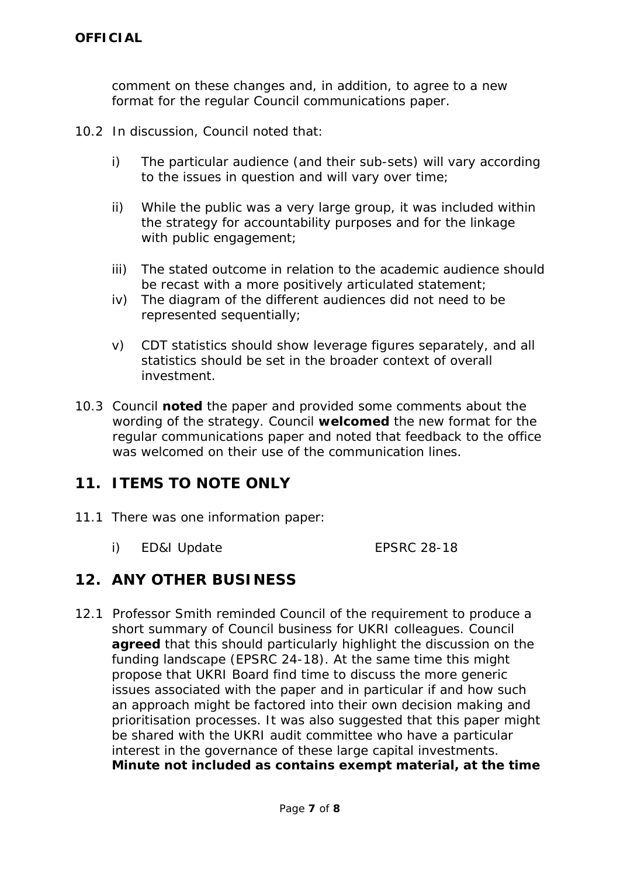comment on these changes and, in addition, to agree to a new format for the regular Council communications paper.

- 10.2 In discussion, Council noted that:
	- i) The particular audience (and their sub-sets) will vary according to the issues in question and will vary over time;
	- ii) While the public was a very large group, it was included within the strategy for accountability purposes and for the linkage with public engagement;
	- iii) The stated outcome in relation to the academic audience should be recast with a more positively articulated statement;
	- iv) The diagram of the different audiences did not need to be represented sequentially;
	- v) CDT statistics should show leverage figures separately, and all statistics should be set in the broader context of overall investment.
- 10.3 Council **noted** the paper and provided some comments about the wording of the strategy. Council **welcomed** the new format for the regular communications paper and noted that feedback to the office was welcomed on their use of the communication lines.

## **11. ITEMS TO NOTE ONLY**

- 11.1 There was one information paper:
	- i) ED&I Update EPSRC 28-18

## **12. ANY OTHER BUSINESS**

12.1 Professor Smith reminded Council of the requirement to produce a short summary of Council business for UKRI colleagues. Council **agreed** that this should particularly highlight the discussion on the funding landscape (EPSRC 24-18). At the same time this might propose that UKRI Board find time to discuss the more generic issues associated with the paper and in particular if and how such an approach might be factored into their own decision making and prioritisation processes. It was also suggested that this paper might be shared with the UKRI audit committee who have a particular interest in the governance of these large capital investments. **Minute not included as contains exempt material, at the time**